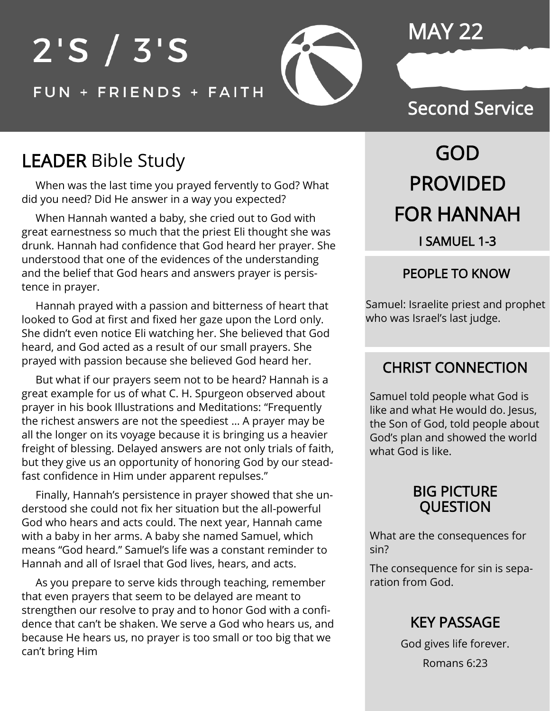## MAY 22

# $2'S / 3'S$ FUN + FRIENDS + FAITH

### Second Service

# LEADER Bible Study

 When was the last time you prayed fervently to God? What did you need? Did He answer in a way you expected?

 When Hannah wanted a baby, she cried out to God with great earnestness so much that the priest Eli thought she was drunk. Hannah had confidence that God heard her prayer. She understood that one of the evidences of the understanding and the belief that God hears and answers prayer is persistence in prayer.

 Hannah prayed with a passion and bitterness of heart that looked to God at first and fixed her gaze upon the Lord only. She didn't even notice Eli watching her. She believed that God heard, and God acted as a result of our small prayers. She prayed with passion because she believed God heard her.

 But what if our prayers seem not to be heard? Hannah is a great example for us of what C. H. Spurgeon observed about prayer in his book Illustrations and Meditations: "Frequently the richest answers are not the speediest … A prayer may be all the longer on its voyage because it is bringing us a heavier freight of blessing. Delayed answers are not only trials of faith, but they give us an opportunity of honoring God by our steadfast confidence in Him under apparent repulses."

 Finally, Hannah's persistence in prayer showed that she understood she could not fix her situation but the all-powerful God who hears and acts could. The next year, Hannah came with a baby in her arms. A baby she named Samuel, which means "God heard." Samuel's life was a constant reminder to Hannah and all of Israel that God lives, hears, and acts.

 As you prepare to serve kids through teaching, remember that even prayers that seem to be delayed are meant to strengthen our resolve to pray and to honor God with a confidence that can't be shaken. We serve a God who hears us, and because He hears us, no prayer is too small or too big that we can't bring Him

# GOD PROVIDED FOR HANNAH I SAMUEL 1-3

#### PEOPLE TO KNOW

Samuel: Israelite priest and prophet who was Israel's last judge.

#### CHRIST CONNECTION

Samuel told people what God is like and what He would do. Jesus, the Son of God, told people about God's plan and showed the world what God is like.

#### BIG PICTURE QUESTION

What are the consequences for sin?

The consequence for sin is separation from God.

#### KEY PASSAGE

God gives life forever. Romans 6:23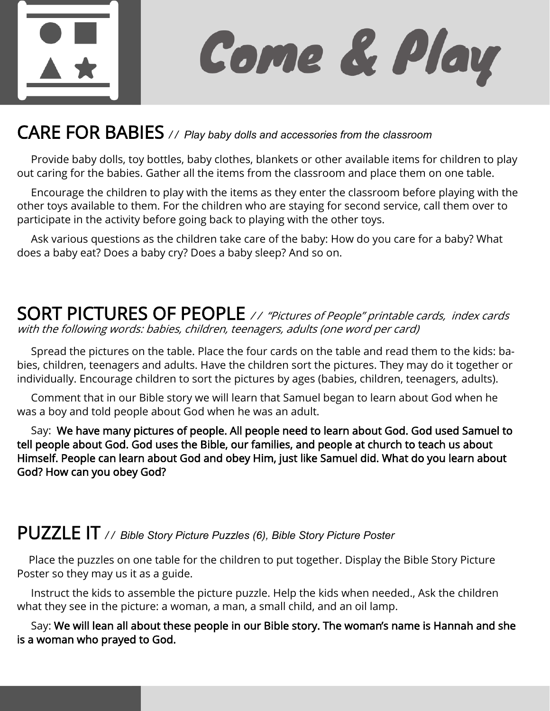

Come & Play

### CARE FOR BABIES // Play baby dolls and accessories from the classroom

 Provide baby dolls, toy bottles, baby clothes, blankets or other available items for children to play out caring for the babies. Gather all the items from the classroom and place them on one table.

 Encourage the children to play with the items as they enter the classroom before playing with the other toys available to them. For the children who are staying for second service, call them over to participate in the activity before going back to playing with the other toys.

 Ask various questions as the children take care of the baby: How do you care for a baby? What does a baby eat? Does a baby cry? Does a baby sleep? And so on.

#### SORT PICTURES OF PEOPLE // "Pictures of People" printable cards, index cards with the following words: babies, children, teenagers, adults (one word per card)

 Spread the pictures on the table. Place the four cards on the table and read them to the kids: babies, children, teenagers and adults. Have the children sort the pictures. They may do it together or individually. Encourage children to sort the pictures by ages (babies, children, teenagers, adults).

 Comment that in our Bible story we will learn that Samuel began to learn about God when he was a boy and told people about God when he was an adult.

 Say: We have many pictures of people. All people need to learn about God. God used Samuel to tell people about God. God uses the Bible, our families, and people at church to teach us about Himself. People can learn about God and obey Him, just like Samuel did. What do you learn about God? How can you obey God?

### PUZZLE IT */ / Bible Story Picture Puzzles (6), Bible Story Picture Poster*

 Place the puzzles on one table for the children to put together. Display the Bible Story Picture Poster so they may us it as a guide.

 Instruct the kids to assemble the picture puzzle. Help the kids when needed., Ask the children what they see in the picture: a woman, a man, a small child, and an oil lamp.

 Say: We will lean all about these people in our Bible story. The woman's name is Hannah and she is a woman who prayed to God.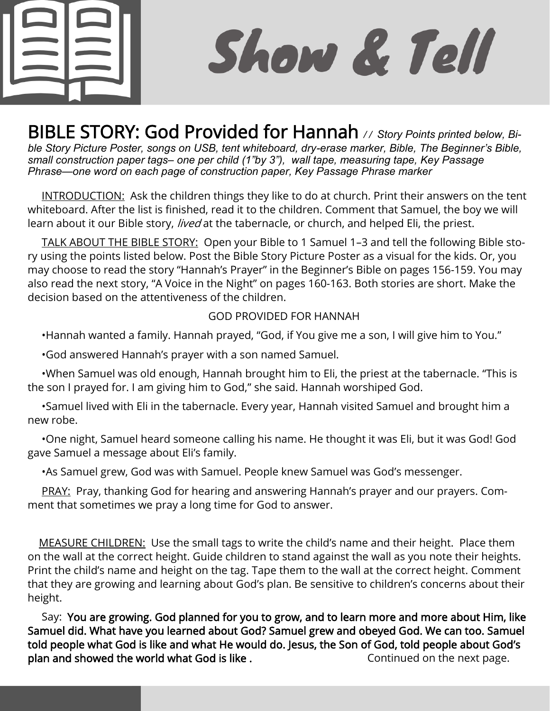

Show & Tell

BIBLE STORY: God Provided for Hannah // Story Points printed below, Bi*ble Story Picture Poster, songs on USB, tent whiteboard, dry-erase marker, Bible, The Beginner's Bible, small construction paper tags– one per child (1"by 3"), wall tape, measuring tape, Key Passage Phrase—one word on each page of construction paper, Key Passage Phrase marker*

INTRODUCTION: Ask the children things they like to do at church. Print their answers on the tent whiteboard. After the list is finished, read it to the children. Comment that Samuel, the boy we will learn about it our Bible story, *lived* at the tabernacle, or church, and helped Eli, the priest.

 TALK ABOUT THE BIBLE STORY: Open your Bible to 1 Samuel 1–3 and tell the following Bible story using the points listed below. Post the Bible Story Picture Poster as a visual for the kids. Or, you may choose to read the story "Hannah's Prayer" in the Beginner's Bible on pages 156-159. You may also read the next story, "A Voice in the Night" on pages 160-163. Both stories are short. Make the decision based on the attentiveness of the children.

#### GOD PROVIDED FOR HANNAH

•Hannah wanted a family. Hannah prayed, "God, if You give me a son, I will give him to You."

•God answered Hannah's prayer with a son named Samuel.

 •When Samuel was old enough, Hannah brought him to Eli, the priest at the tabernacle. "This is the son I prayed for. I am giving him to God," she said. Hannah worshiped God.

 •Samuel lived with Eli in the tabernacle. Every year, Hannah visited Samuel and brought him a new robe.

 •One night, Samuel heard someone calling his name. He thought it was Eli, but it was God! God gave Samuel a message about Eli's family.

•As Samuel grew, God was with Samuel. People knew Samuel was God's messenger.

PRAY: Pray, thanking God for hearing and answering Hannah's prayer and our prayers. Comment that sometimes we pray a long time for God to answer.

 MEASURE CHILDREN: Use the small tags to write the child's name and their height. Place them on the wall at the correct height. Guide children to stand against the wall as you note their heights. Print the child's name and height on the tag. Tape them to the wall at the correct height. Comment that they are growing and learning about God's plan. Be sensitive to children's concerns about their height.

 Say: You are growing. God planned for you to grow, and to learn more and more about Him, like Samuel did. What have you learned about God? Samuel grew and obeyed God. We can too. Samuel told people what God is like and what He would do. Jesus, the Son of God, told people about God's plan and showed the world what God is like . Continued on the next page.